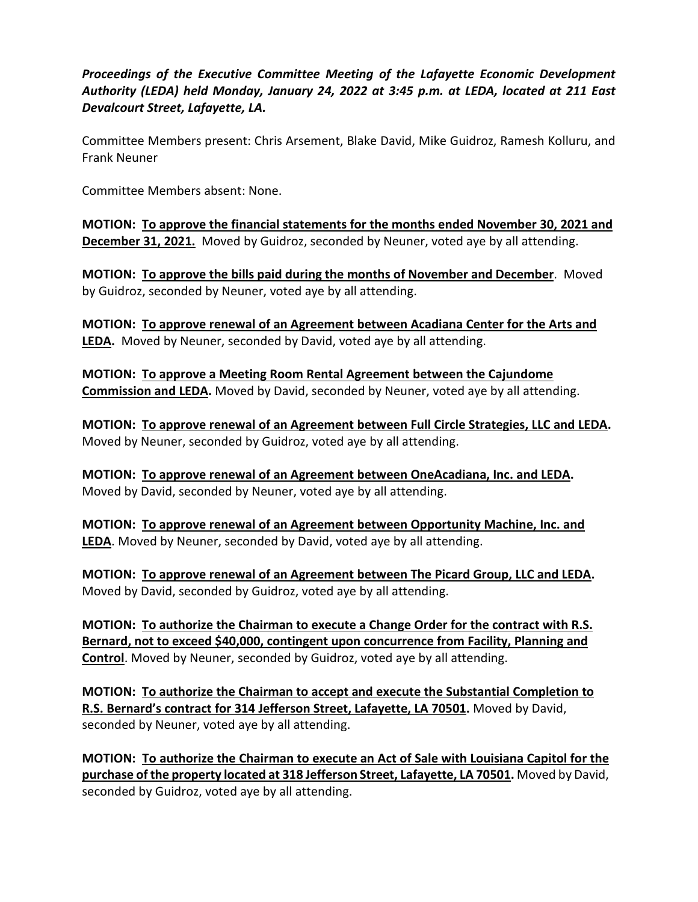*Proceedings of the Executive Committee Meeting of the Lafayette Economic Development Authority (LEDA) held Monday, January 24, 2022 at 3:45 p.m. at LEDA, located at 211 East Devalcourt Street, Lafayette, LA.*

Committee Members present: Chris Arsement, Blake David, Mike Guidroz, Ramesh Kolluru, and Frank Neuner

Committee Members absent: None.

**MOTION: To approve the financial statements for the months ended November 30, 2021 and December 31, 2021.** Moved by Guidroz, seconded by Neuner, voted aye by all attending.

**MOTION: To approve the bills paid during the months of November and December**. Moved by Guidroz, seconded by Neuner, voted aye by all attending.

**MOTION: To approve renewal of an Agreement between Acadiana Center for the Arts and LEDA.** Moved by Neuner, seconded by David, voted aye by all attending.

**MOTION: To approve a Meeting Room Rental Agreement between the Cajundome Commission and LEDA.** Moved by David, seconded by Neuner, voted aye by all attending.

**MOTION: To approve renewal of an Agreement between Full Circle Strategies, LLC and LEDA.** Moved by Neuner, seconded by Guidroz, voted aye by all attending.

**MOTION: To approve renewal of an Agreement between OneAcadiana, Inc. and LEDA.** Moved by David, seconded by Neuner, voted aye by all attending.

**MOTION: To approve renewal of an Agreement between Opportunity Machine, Inc. and LEDA**. Moved by Neuner, seconded by David, voted aye by all attending.

**MOTION: To approve renewal of an Agreement between The Picard Group, LLC and LEDA.** Moved by David, seconded by Guidroz, voted aye by all attending.

**MOTION: To authorize the Chairman to execute a Change Order for the contract with R.S. Bernard, not to exceed \$40,000, contingent upon concurrence from Facility, Planning and Control**. Moved by Neuner, seconded by Guidroz, voted aye by all attending.

**MOTION: To authorize the Chairman to accept and execute the Substantial Completion to R.S. Bernard's contract for 314 Jefferson Street, Lafayette, LA 70501.** Moved by David, seconded by Neuner, voted aye by all attending.

**MOTION: To authorize the Chairman to execute an Act of Sale with Louisiana Capitol for the purchase of the property located at 318 Jefferson Street, Lafayette, LA 70501.** Moved by David, seconded by Guidroz, voted aye by all attending.